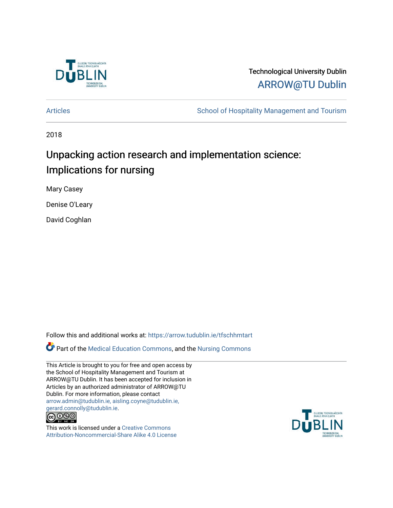

## Technological University Dublin [ARROW@TU Dublin](https://arrow.tudublin.ie/)

[Articles](https://arrow.tudublin.ie/tfschhmtart) **School of Hospitality Management and Tourism** 

2018

## Unpacking action research and implementation science: Implications for nursing

Mary Casey

Denise O'Leary

David Coghlan

Follow this and additional works at: [https://arrow.tudublin.ie/tfschhmtart](https://arrow.tudublin.ie/tfschhmtart?utm_source=arrow.tudublin.ie%2Ftfschhmtart%2F93&utm_medium=PDF&utm_campaign=PDFCoverPages) 

**Part of the [Medical Education Commons,](http://network.bepress.com/hgg/discipline/1125?utm_source=arrow.tudublin.ie%2Ftfschhmtart%2F93&utm_medium=PDF&utm_campaign=PDFCoverPages) and the [Nursing Commons](http://network.bepress.com/hgg/discipline/718?utm_source=arrow.tudublin.ie%2Ftfschhmtart%2F93&utm_medium=PDF&utm_campaign=PDFCoverPages)** 

This Article is brought to you for free and open access by the School of Hospitality Management and Tourism at ARROW@TU Dublin. It has been accepted for inclusion in Articles by an authorized administrator of ARROW@TU Dublin. For more information, please contact [arrow.admin@tudublin.ie, aisling.coyne@tudublin.ie,](mailto:arrow.admin@tudublin.ie,%20aisling.coyne@tudublin.ie,%20gerard.connolly@tudublin.ie)  [gerard.connolly@tudublin.ie](mailto:arrow.admin@tudublin.ie,%20aisling.coyne@tudublin.ie,%20gerard.connolly@tudublin.ie).



This work is licensed under a [Creative Commons](http://creativecommons.org/licenses/by-nc-sa/4.0/) [Attribution-Noncommercial-Share Alike 4.0 License](http://creativecommons.org/licenses/by-nc-sa/4.0/)

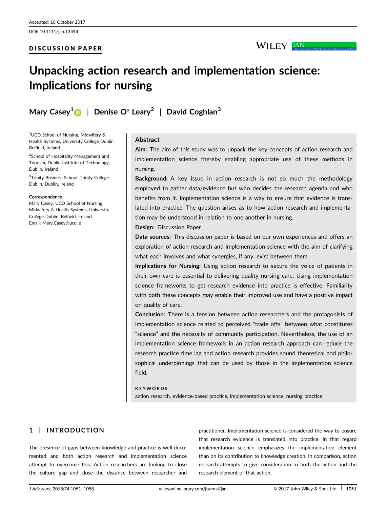DOI: 10.1111/jan.13494

## DISCUSSION PAPER

## WILEY JAN

# Unpacking action research and implementation science: Implications for nursing

Mary Casey<sup>[1](http://orcid.org/0000-0003-3305-0074)</sup> | Denise O' Leary<sup>2</sup> | David Coghlan<sup>3</sup>

1 UCD School of Nursing, Midwifery & Health Systems, University College Dublin, Belfield, Ireland

<sup>2</sup>School of Hospitality Management and Tourism, Dublin Institute of Technology, Dublin, Ireland

<sup>3</sup>Trinity Business School, Trinity College Dublin, Dublin, Ireland

#### **Correspondence**

Mary Casey, UCD School of Nursing, Midwifery & Health Systems, University College Dublin, Belfield, Ireland. Email: Mary.Casey@ucd.ie

### **Abstract**

Aim: The aim of this study was to unpack the key concepts of action research and implementation science thereby enabling appropriate use of these methods in nursing.

Background: A key issue in action research is not so much the methodology employed to gather data/evidence but who decides the research agenda and who benefits from it. Implementation science is a way to ensure that evidence is translated into practice. The question arises as to how action research and implementation may be understood in relation to one another in nursing.

Design: Discussion Paper

Data sources: This discussion paper is based on our own experiences and offers an exploration of action research and implementation science with the aim of clarifying what each involves and what synergies, if any, exist between them.

Implications for Nursing: Using action research to secure the voice of patients in their own care is essential to delivering quality nursing care. Using implementation science frameworks to get research evidence into practice is effective. Familiarity with both these concepts may enable their improved use and have a positive impact on quality of care.

Conclusion: There is a tension between action researchers and the protagonists of implementation science related to perceived "trade offs" between what constitutes "science" and the necessity of community participation. Nevertheless, the use of an implementation science framework in an action research approach can reduce the research practice time lag and action research provides sound theoretical and philosophical underpinnings that can be used by those in the implementation science field.

#### **KEYWORDS**

action research, evidence-based practice, implementation science, nursing practice

## 1 | INTRODUCTION

The presence of gaps between knowledge and practice is well documented and both action research and implementation science attempt to overcome this. Action researchers are looking to close the culture gap and close the distance between researcher and

practitioner. Implementation science is considered the way to ensure that research evidence is translated into practice. In that regard implementation science emphasizes the implementation element than on its contribution to knowledge creation. In comparison, action research attempts to give consideration to both the action and the research element of that action.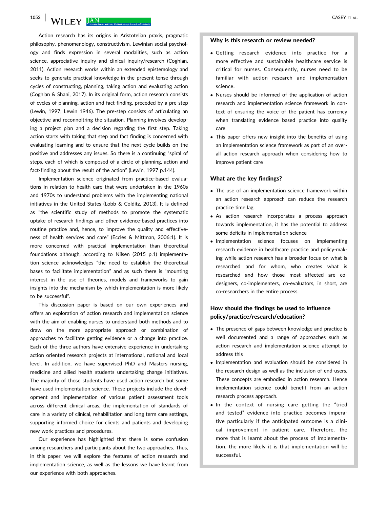$1052$  | M/H EM  $\overline{IMN}$  | CASEY ET AL.

Action research has its origins in Aristotelian praxis, pragmatic philosophy, phenomenology, constructivism, Lewinian social psychology and finds expression in several modalities, such as action science, appreciative inquiry and clinical inquiry/research (Coghlan, 2011). Action research works within an extended epistemology and seeks to generate practical knowledge in the present tense through cycles of constructing, planning, taking action and evaluating action (Coghlan & Shani, 2017). In its original form, action research consists of cycles of planning, action and fact-finding, preceded by a pre-step (Lewin, 1997; Lewin 1946). The pre-step consists of articulating an objective and reconnoitring the situation. Planning involves developing a project plan and a decision regarding the first step. Taking action starts with taking that step and fact finding is concerned with evaluating learning and to ensure that the next cycle builds on the positive and addresses any issues. So there is a continuing "spiral of steps, each of which is composed of a circle of planning, action and fact-finding about the result of the action" (Lewin, 1997 p.144).

Implementation science originated from practice-based evaluations in relation to health care that were undertaken in the 1960s and 1970s to understand problems with the implementing national initiatives in the United States (Lobb & Colditz, 2013). It is defined as "the scientific study of methods to promote the systematic uptake of research findings and other evidence-based practices into routine practice and, hence, to improve the quality and effectiveness of health services and care" (Eccles & Mittman, 2006:1). It is more concerned with practical implementation than theoretical foundations although, according to Nilsen (2015 p.1) implementation science acknowledges "the need to establish the theoretical bases to facilitate implementation" and as such there is "mounting interest in the use of theories, models and frameworks to gain insights into the mechanism by which implementation is more likely to be successful".

This discussion paper is based on our own experiences and offers an exploration of action research and implementation science with the aim of enabling nurses to understand both methods and to draw on the more appropriate approach or combination of approaches to facilitate getting evidence or a change into practice. Each of the three authors have extensive experience in undertaking action oriented research projects at international, national and local level. In addition, we have supervised PhD and Masters nursing, medicine and allied health students undertaking change initiatives. The majority of those students have used action research but some have used implementation science. These projects include the development and implementation of various patient assessment tools across different clinical areas, the implementation of standards of care in a variety of clinical, rehabilitation and long term care settings, supporting informed choice for clients and patients and developing new work practices and procedures.

Our experience has highlighted that there is some confusion among researchers and participants about the two approaches. Thus, in this paper, we will explore the features of action research and implementation science, as well as the lessons we have learnt from our experience with both approaches.

#### Why is this research or review needed?

- Getting research evidence into practice for a more effective and sustainable healthcare service is critical for nurses. Consequently, nurses need to be familiar with action research and implementation science.
- Nurses should be informed of the application of action research and implementation science framework in context of ensuring the voice of the patient has currency when translating evidence based practice into quality care
- This paper offers new insight into the benefits of using an implementation science framework as part of an overall action research approach when considering how to improve patient care

#### What are the key findings?

- The use of an implementation science framework within an action research approach can reduce the research practice time lag.
- As action research incorporates a process approach towards implementation, it has the potential to address some deficits in implementation science
- Implementation science focuses on implementing research evidence in healthcare practice and policy-making while action research has a broader focus on what is researched and for whom, who creates what is researched and how those most affected are codesigners, co-implementers, co-evaluators, in short, are co-researchers in the entire process.

### How should the findings be used to influence policy/practice/research/education?

- The presence of gaps between knowledge and practice is well documented and a range of approaches such as action research and implementation science attempt to address this
- Implementation and evaluation should be considered in the research design as well as the inclusion of end-users. These concepts are embodied in action research. Hence implementation science could benefit from an action research process approach.
- In the context of nursing care getting the "tried and tested" evidence into practice becomes imperative particularly if the anticipated outcome is a clinical improvement in patient care. Therefore, the more that is learnt about the process of implementation, the more likely it is that implementation will be successful.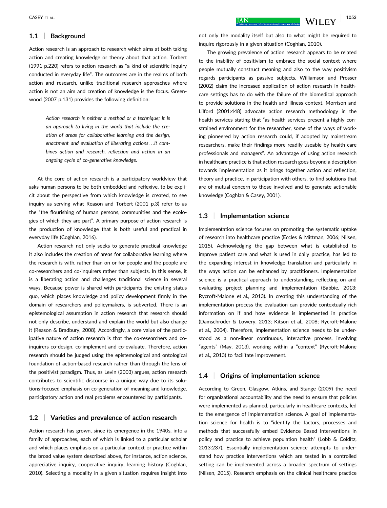## 1.1 | Background

Action research is an approach to research which aims at both taking action and creating knowledge or theory about that action. Torbert (1991 p.220) refers to action research as "a kind of scientific inquiry conducted in everyday life". The outcomes are in the realms of both action and research, unlike traditional research approaches where action is not an aim and creation of knowledge is the focus. Greenwood (2007 p.131) provides the following definition:

> Action research is neither a method or a technique; it is an approach to living in the world that include the creation of areas for collaborative learning and the design, enactment and evaluation of liberating actions...it combines action and research, reflection and action in an ongoing cycle of co-generative knowledge.

At the core of action research is a participatory worldview that asks human persons to be both embedded and reflexive, to be explicit about the perspective from which knowledge is created, to see inquiry as serving what Reason and Torbert (2001 p.3) refer to as the "the flourishing of human persons, communities and the ecologies of which they are part". A primary purpose of action research is the production of knowledge that is both useful and practical in everyday life (Coghlan, 2016).

Action research not only seeks to generate practical knowledge it also includes the creation of areas for collaborative learning where the research is with, rather than on or for people and the people are co-researchers and co-inquirers rather than subjects. In this sense, it is a liberating action and challenges traditional science in several ways. Because power is shared with participants the existing status quo, which places knowledge and policy development firmly in the domain of researchers and policymakers, is subverted. There is an epistemological assumption in action research that research should not only describe, understand and explain the world but also change it (Reason & Bradbury, 2008). Accordingly, a core value of the participative nature of action research is that the co-researchers and coinquirers co-design, co-implement and co-evaluate. Therefore, action research should be judged using the epistemological and ontological foundation of action-based research rather than through the lens of the positivist paradigm. Thus, as Levin (2003) argues, action research contributes to scientific discourse in a unique way due to its solutions-focused emphasis on co-generation of meaning and knowledge, participatory action and real problems encountered by participants.

#### 1.2 | Varieties and prevalence of action research

Action research has grown, since its emergence in the 1940s, into a family of approaches, each of which is linked to a particular scholar and which places emphasis on a particular context or practice within the broad value system described above, for instance, action science, appreciative inquiry, cooperative inquiry, learning history (Coghlan, 2010). Selecting a modality in a given situation requires insight into not only the modality itself but also to what might be required to inquire rigorously in a given situation (Coghlan, 2010).

The growing prevalence of action research appears to be related to the inability of positivism to embrace the social context where people mutually construct meaning and also to the way positivism regards participants as passive subjects. Williamson and Prosser (2002) claim the increased application of action research in healthcare settings has to do with the failure of the biomedical approach to provide solutions in the health and illness context. Morrison and Lilford (2001:448) advocate action research methodology in the health services stating that "as health services present a highly constrained environment for the researcher, some of the ways of working pioneered by action research could, if adopted by mainstream researchers, make their findings more readily useable by health care professionals and managers". An advantage of using action research in healthcare practice is that action research goes beyond a description towards implementation as it brings together action and reflection, theory and practice, in participation with others, to find solutions that are of mutual concern to those involved and to generate actionable knowledge (Coghlan & Casey, 2001).

#### 1.3 | Implementation science

Implementation science focuses on promoting the systematic uptake of research into healthcare practice (Eccles & Mittman, 2006; Nilsen, 2015). Acknowledging the gap between what is established to improve patient care and what is used in daily practice, has led to the expanding interest in knowledge translation and particularly in the ways action can be enhanced by practitioners. Implementation science is a practical approach to understanding, reflecting on and evaluating project planning and implementation (Babbie, 2013; Rycroft-Malone et al., 2013). In creating this understanding of the implementation process the evaluation can provide contextually rich information on if and how evidence is implemented in practice (Damschroder & Lowery, 2013; Kitson et al., 2008; Rycroft-Malone et al., 2004). Therefore, implementation science needs to be understood as a non-linear continuous, interactive process, involving "agents" (May, 2013), working within a "context" (Rycroft-Malone et al., 2013) to facilitate improvement.

#### 1.4 | Origins of implementation science

According to Green, Glasgow, Atkins, and Stange (2009) the need for organizational accountability and the need to ensure that policies were implemented as planned, particularly in healthcare contexts, led to the emergence of implementation science. A goal of implementation science for health is to "identify the factors, processes and methods that successfully embed Evidence Based Interventions in policy and practice to achieve population health" (Lobb & Colditz, 2013:237). Essentially implementation science attempts to understand how practice interventions which are tested in a controlled setting can be implemented across a broader spectrum of settings (Nilsen, 2015). Research emphasis on the clinical healthcare practice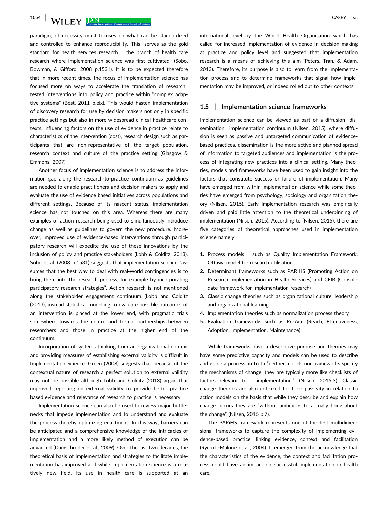1054 WII FV-JAN CASEY ET AL.

paradigm, of necessity must focuses on what can be standardized and controlled to enhance reproducibility. This "serves as the gold standard for health services research ...the branch of health care research where implementation science was first cultivated" (Sobo, Bowman, & Gifford, 2008 p.1531). It is to be expected therefore that in more recent times, the focus of implementation science has focused more on ways to accelerate the translation of research– tested interventions into policy and practice within "complex adaptive systems" (Best, 2011 p.eix). This would hasten implementation of discovery research for use by decision makers not only in specific practice settings but also in more widespread clinical healthcare contexts. Influencing factors on the use of evidence in practice relate to characteristics of the intervention (cost), research design such as participants that are non-representative of the target population, research context and culture of the practice setting (Glasgow & Emmons, 2007).

Another focus of implementation science is to address the information gap along the research-to-practice continuum as guidelines are needed to enable practitioners and decision-makers to apply and evaluate the use of evidence based initiatives across populations and different settings. Because of its nascent status, implementation science has not touched on this area. Whereas there are many examples of action research being used to simultaneously introduce change as well as guidelines to govern the new procedure. Moreover, improved use of evidence-based interventions through participatory research will expedite the use of these innovations by the inclusion of policy and practice stakeholders (Lobb & Colditz, 2013). Sobo et al. (2008 p.1531) suggests that implementation science "assumes that the best way to deal with real-world contingencies is to bring them into the research process, for example by incorporating participatory research strategies". Action research is not mentioned along the stakeholder engagement continuum (Lobb and Colditz (2013), instead statistical modelling to evaluate possible outcomes of an intervention is placed at the lower end, with pragmatic trials somewhere towards the centre and formal partnerships between researchers and those in practice at the higher end of the continuum.

Incorporation of systems thinking from an organizational context and providing measures of establishing external validity is difficult in Implementation Science. Green (2008) suggests that because of the contextual nature of research a perfect solution to external validity may not be possible although Lobb and Colditz (2013) argue that improved reporting on external validity to provide better practice based evidence and relevance of research to practice is necessary.

Implementation science can also be used to review major bottlenecks that impede implementation and to understand and evaluate the process thereby optimizing enactment. In this way, barriers can be anticipated and a comprehensive knowledge of the intricacies of implementation and a more likely method of execution can be advanced (Damschroder et al., 2009). Over the last two decades, the theoretical basis of implementation and strategies to facilitate implementation has improved and while implementation science is a relatively new field, its use in health care is supported at an international level by the World Health Organisation which has called for increased implementation of evidence in decision making at practice and policy level and suggested that implementation research is a means of achieving this aim (Peters, Tran, & Adam, 2013). Therefore, its purpose is also to learn from the implementation process and to determine frameworks that signal how implementation may be improved, or indeed rolled out to other contexts.

#### 1.5 | Implementation science frameworks

Implementation science can be viewed as part of a diffusion- dissemination –implementation continuum (Nilsen, 2015), where diffusion is seen as passive and untargeted communication of evidencebased practices, dissemination is the more active and planned spread of information to targeted audiences and implementation is the process of integrating new practices into a clinical setting. Many theories, models and frameworks have been used to gain insight into the factors that constitute success or failure of implementation. Many have emerged from within implementation science while some theories have emerged from psychology, sociology and organization theory (Nilsen, 2015). Early implementation research was empirically driven and paid little attention to the theoretical underpinning of implementation (Nilsen, 2015). According to (Nilsen, 2015), there are five categories of theoretical approaches used in implementation science namely:

- 1. Process models such as Quality Implementation Framework, Ottawa model for research utilisation
- 2. Determinant frameworks such as PARIHS (Promoting Action on Research Implementation in Health Services) and CFIR (Consolidate framework for implementation research)
- 3. Classic change theories such as organizational culture, leadership and organizational learning
- 4. Implementation theories such as normalization process theory
- 5. Evaluation frameworks such as Re-Aim (Reach, Effectiveness, Adoption, Implementation, Maintenance)

While frameworks have a descriptive purpose and theories may have some predictive capacity and models can be used to describe and guide a process, in truth "neither models nor frameworks specify the mechanisms of change; they are typically more like checklists of factors relevant to ...implementation." (Nilsen, 2015:3). Classic change theories are also criticized for their passivity in relation to action models on the basis that while they describe and explain how change occurs they are "without ambitions to actually bring about the change" (Nilsen, 2015 p.7).

The PARiHS framework represents one of the first multidimensional frameworks to capture the complexity of implementing evidence-based practice, linking evidence, context and facilitation (Rycroft-Malone et al., 2004). It emerged from the acknowledge that the characteristics of the evidence, the context and facilitation process could have an impact on successful implementation in health care.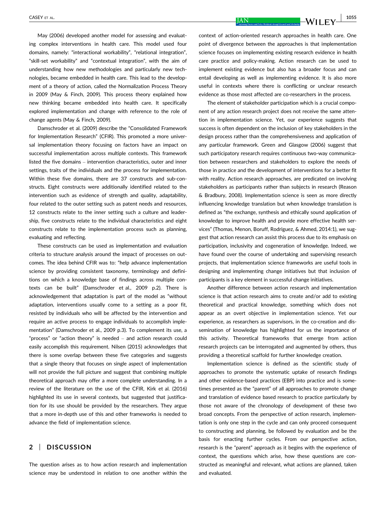May (2006) developed another model for assessing and evaluating complex interventions in health care. This model used four domains, namely: "interactional workability", "relational integration", "skill-set workability" and "contextual integration", with the aim of understanding how new methodologies and particularly new technologies, became embedded in health care. This lead to the development of a theory of action, called the Normalization Process Theory in 2009 (May & Finch, 2009). This process theory explained how new thinking became embedded into health care. It specifically explored implementation and change with reference to the role of change agents (May & Finch, 2009).

Damschroder et al. (2009) describe the "Consolidated Framework for Implementation Research" (CFIR). This promoted a more universal implementation theory focusing on factors have an impact on successful implementation across multiple contexts. This framework listed the five domains – intervention characteristics, outer and inner settings, traits of the individuals and the process for implementation. Within these five domains, there are 37 constructs and sub-constructs. Eight constructs were additionally identified related to the intervention such as evidence of strength and quality, adaptability, four related to the outer setting such as patent needs and resources, 12 constructs relate to the inner setting such a culture and leadership, five constructs relate to the individual characteristics and eight constructs relate to the implementation process such as planning, evaluating and reflecting.

These constructs can be used as implementation and evaluation criteria to structure analysis around the impact of processes on outcomes. The idea behind CFIR was to: "help advance implementation science by providing consistent taxonomy, terminology and definitions on which a knowledge base of findings across multiple contexts can be built" (Damschroder et al., 2009 p.2). There is acknowledgement that adaptation is part of the model as "without adaptation, interventions usually come to a setting as a poor fit, resisted by individuals who will be affected by the intervention and require an active process to engage individuals to accomplish implementation" (Damschroder et al., 2009 p.3). To complement its use, a "process" or "action theory" is needed – and action research could easily accomplish this requirement. Nilsen (2015) acknowledges that there is some overlap between these five categories and suggests that a single theory that focuses on single aspect of implementation will not provide the full picture and suggest that combining multiple theoretical approach may offer a more complete understanding. In a review of the literature on the use of the CFIR, Kirk et al. (2016) highlighted its use in several contexts, but suggested that justification for its use should be provided by the researchers. They argue that a more in-depth use of this and other frameworks is needed to advance the field of implementation science.

## 2 | DISCUSSION

The question arises as to how action research and implementation science may be understood in relation to one another within the

context of action-oriented research approaches in health care. One point of divergence between the approaches is that implementation science focuses on implementing existing research evidence in health care practice and policy-making. Action research can be used to implement existing evidence but also has a broader focus and can entail developing as well as implementing evidence. It is also more useful in contexts where there is conflicting or unclear research evidence as those most affected are co-researchers in the process.

The element of stakeholder participation which is a crucial component of any action research project does not receive the same attention in implementation science. Yet, our experience suggests that success is often dependent on the inclusion of key stakeholders in the design process rather than the comprehensiveness and application of any particular framework. Green and Glasgow (2006) suggest that such participatory research requires continuous two-way communication between researchers and stakeholders to explore the needs of those in practice and the development of interventions for a better fit with reality. Action research approaches, are predicated on involving stakeholders as participants rather than subjects in research (Reason & Bradbury, 2008). Implementation science is seen as more directly influencing knowledge translation but when knowledge translation is defined as "the exchange, synthesis and ethically sound application of knowledge to improve health and provide more effective health services" (Thomas, Menon, Boruff, Rodriguez, & Ahmed, 2014:1), we suggest that action research can assist this process due to its emphasis on participation, inclusivity and cogeneration of knowledge. Indeed, we have found over the course of undertaking and supervising research projects, that implementation science frameworks are useful tools in designing and implementing change initiatives but that inclusion of participants is a key element in successful change initiatives.

Another difference between action research and implementation science is that action research aims to create and/or add to existing theoretical and practical knowledge, something which does not appear as an overt objective in implementation science. Yet our experience, as researchers as supervisors, in the co-creation and dissemination of knowledge has highlighted for us the importance of this activity. Theoretical frameworks that emerge from action research projects can be interrogated and augmented by others, thus providing a theoretical scaffold for further knowledge creation.

Implementation science is defined as the scientific study of approaches to promote the systematic uptake of research findings and other evidence-based practices (EBP) into practice and is sometimes presented as the "parent" of all approaches to promote change and translation of evidence based research to practice particularly by those not aware of the chronology of development of these two broad concepts. From the perspective of action research, implementation is only one step in the cycle and can only proceed consequent to constructing and planning, be followed by evaluation and be the basis for enacting further cycles. From our perspective action, research is the "parent" approach as it begins with the experience of context, the questions which arise, how these questions are constructed as meaningful and relevant, what actions are planned, taken and evaluated.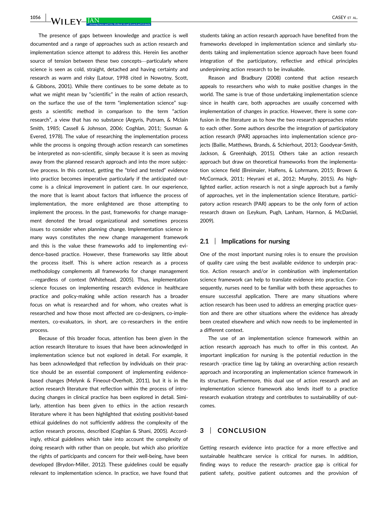1056 WII FY-JAN CASEY ET AL.

The presence of gaps between knowledge and practice is well documented and a range of approaches such as action research and implementation science attempt to address this. Herein lies another source of tension between these two concepts—particularly where science is seen as cold, straight, detached and having certainty and research as warm and risky (Latour, 1998 cited in Nowotny, Scott, & Gibbons, 2001). While there continues to be some debate as to what we might mean by "scientific" in the realm of action research, on the surface the use of the term "implementation science" suggests a scientific method in comparison to the term "action research", a view that has no substance (Argyris, Putnam, & Mclain Smith, 1985; Cassell & Johnson, 2006; Coghlan, 2011; Susman & Evered, 1978). The value of researching the implementation process while the process is ongoing through action research can sometimes be interpreted as non-scientific, simply because it is seen as moving away from the planned research approach and into the more subjective process. In this context, getting the "tried and tested" evidence into practice becomes imperative particularly if the anticipated outcome is a clinical improvement in patient care. In our experience, the more that is learnt about factors that influence the process of implementation, the more enlightened are those attempting to implement the process. In the past, frameworks for change management denoted the broad organizational and sometimes process issues to consider when planning change. Implementation science in many ways constitutes the new change management framework and this is the value these frameworks add to implementing evidence-based practice. However, these frameworks say little about the process itself. This is where action research as a process methodology complements all frameworks for change management —regardless of context (Whitehead, 2005). Thus, implementation science focuses on implementing research evidence in healthcare practice and policy-making while action research has a broader focus on what is researched and for whom, who creates what is researched and how those most affected are co-designers, co-implementers, co-evaluators, in short, are co-researchers in the entire process.

Because of this broader focus, attention has been given in the action research literature to issues that have been acknowledged in implementation science but not explored in detail. For example, it has been acknowledged that reflection by individuals on their practice should be an essential component of implementing evidencebased changes (Melynk & Fineout-Overholt, 2011), but it is in the action research literature that reflection within the process of introducing changes in clinical practice has been explored in detail. Similarly, attention has been given to ethics in the action research literature where it has been highlighted that existing positivist-based ethical guidelines do not sufficiently address the complexity of the action research process, described (Coghlan & Shani, 2005). Accordingly, ethical guidelines which take into account the complexity of doing research with rather than on people, but which also prioritize the rights of participants and concern for their well-being, have been developed (Brydon-Miller, 2012). These guidelines could be equally relevant to implementation science. In practice, we have found that

students taking an action research approach have benefited from the frameworks developed in implementation science and similarly students taking and implementation science approach have been found integration of the participatory, reflective and ethical principles underpinning action research to be invaluable.

Reason and Bradbury (2008) contend that action research appeals to researchers who wish to make positive changes in the world. The same is true of those undertaking implementation science since in health care, both approaches are usually concerned with implementation of changes in practice. However, there is some confusion in the literature as to how the two research approaches relate to each other. Some authors describe the integration of participatory action research (PAR) approaches into implementation science projects (Bailie, Matthews, Brands, & Schierhout, 2013; Goodyear-Smith, Jackson, & Greenhaigh, 2015). Others take an action research approach but draw on theoretical frameworks from the implementation science field (Breimaier, Halfens, & Lohrmann, 2015; Brown & McCormack, 2011; Heyrani et al., 2012; Murphy, 2015). As highlighted earlier, action research is not a single approach but a family of approaches, yet in the implementation science literature, participatory action research (PAR) appears to be the only form of action research drawn on (Leykum, Pugh, Lanham, Harmon, & McDaniel, 2009).

#### 2.1 | Implications for nursing

One of the most important nursing roles is to ensure the provision of quality care using the best available evidence to underpin practice. Action research and/or in combination with implementation science framework can help to translate evidence into practice. Consequently, nurses need to be familiar with both these approaches to ensure successful application. There are many situations where action research has been used to address an emerging practice question and there are other situations where the evidence has already been created elsewhere and which now needs to be implemented in a different context.

The use of an implementation science framework within an action research approach has much to offer in this context. An important implication for nursing is the potential reduction in the research -practice time lag by taking an overarching action research approach and incorporating an implementation science framework in its structure. Furthermore, this dual use of action research and an implementation science framework also lends itself to a practice research evaluation strategy and contributes to sustainability of outcomes.

## 3 | CONCLUSION

Getting research evidence into practice for a more effective and sustainable healthcare service is critical for nurses. In addition, finding ways to reduce the research- practice gap is critical for patient safety, positive patient outcomes and the provision of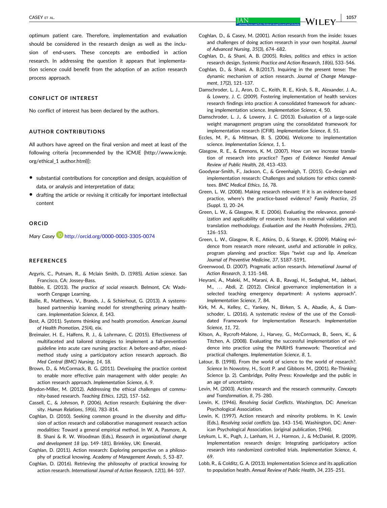optimum patient care. Therefore, implementation and evaluation should be considered in the research design as well as the inclusion of end-users. These concepts are embodied in action research. In addressing the question it appears that implementation science could benefit from the adoption of an action research process approach.

#### CONFLICT OF INTEREST

No conflict of interest has been declared by the authors.

#### AUTHOR CONTRIBUTIONS

All authors have agreed on the final version and meet at least of the following criteria [recommended by the ICMJE ([http://www.icmje.](http://www.icmje.org/ethical_1) [org/ethical\\_1](http://www.icmje.org/ethical_1) author.html)]:

- substantial contributions for conception and design, acquisition of data, or analysis and interpretation of data;
- drafting the article or revising it critically for important intellectual content

#### ORCID

Mary Casey **http://orcid.org/0000-0003-3305-0074** 

#### REFERENCES

- Argyris, C., Putnam, R., & Mclain Smith, D. (1985). Action science. San Francisco, CA: Jossey-Bass.
- Babbie, E. (2013). The practice of social research. Belmont, CA: Wadsworth Cengage Learning.
- Bailie, R., Matthews, V., Brands, J., & Schierhout, G. (2013). A systemsbased partnership learning model for strengthening primary healthcare. Implementation Science, 8, 143.
- Best, A. (2011). Systems thinking and health promotion. American Journal of Health Promotion, 25(4), eix.
- Breimaier, H. E., Halfens, R. J., & Lohrmann, C. (2015). Effectiveness of multifaceted and tailored strategies to implement a fall-prevention guideline into acute care nursing practice: A before-and-after, mixedmethod study using a participatory action research approach. Bio Med Central (BMC) Nursing, 14, 18.
- Brown, D., & McCormack, B. G. (2011). Developing the practice context to enable more effective pain management with older people: An action research approach. Implementation Science, 6, 9.
- Brydon-Miller, M. (2012). Addressing the ethical challenges of community-based research. Teaching Ethics, 12(2), 157–162.
- Cassell, C., & Johnson, P. (2006). Action research: Explaining the diversity. Human Relations, 59(6), 783–814.
- Coghlan, D. (2010). Seeking common ground in the diversity and diffusion of action research and collaborative management research action modalities: Toward a general empirical method. In W. A. Pasmore, A. B. Shani & R. W. Woodman (Eds.), Research in organizational change and development 18 (pp. 149–181). Brinkley, UK: Emerald.
- Coghlan, D. (2011). Action research: Exploring perspective on a philosophy of practical knowing. Academy of Management Annals, 5, 53–87.
- Coghlan, D. (2016). Retrieving the philosophy of practical knowing for action research. International Journal of Action Research, 12(1), 84–107.
- Coghlan, D., & Casey, M. (2001). Action research from the inside: Issues and challenges of doing action research in your own hospital. Journal of Advanced Nursing, 35(3), 674–682.
- Coghlan, D., & Shani, A. B. (2005). Roles, politics and ethics in action research design. Systemic Practice and Action Research, 18(6), 533–546.
- Coghlan, D., & Shani, A. B.(2017). Inquiring in the present tense: The dynamic mechanism of action research. Journal of Change Management, 17(2), 121–137.
- Damschroder, L. J., Aron, D. C., Keith, R. E., Kirsh, S. R., Alexander, J. A., & Lowery, J. C. (2009). Fostering implementation of health services research findings into practice: A consolidated framework for advancing implementation science. Implementation Science, 4, 50.
- Damschroder, L. J., & Lowery, J. C. (2013). Evaluation of a large-scale weight management program using the consolidated framework for implementation research (CFIR). Implementation Science, 8, 51.
- Eccles, M. P., & Mittman, B. S. (2006). Welcome to implementation science. Implementation Science, 1, 1.
- Glasgow, R. E., & Emmons, K. M. (2007). How can we increase translation of research into practice? Types of Evidence Needed Annual Review of Public Health, 28, 413–433.
- Goodyear-Smith, F., Jackson, C., & Greenhaigh, T. (2015). Co-design and implementation research: Challenges and solutions for ethics committees. BMC Medical Ethics, 16, 78.
- Green, L. W. (2008). Making research relevant: If it is an evidence-based practice, where's the practice-based evidence? Family Practice, 25 (Suppl. 1), 20–24.
- Green, L. W., & Glasgow, R. E. (2006). Evaluating the relevance, generalization and applicability of research: Issues in external validation and translation methodology. Evaluation and the Health Professions, 29(1), 126–153.
- Green, L. W., Glasgow, R. E., Atkins, D., & Stange, K. (2009). Making evidence from research more relevant, useful and actionable in policy, program planning and practice: Slips "twixt cup and lip. American Journal of Preventive Medicine, 37, S187–S191.
- Greenwood, D. (2007). Pragmatic action research. International Journal of Action Research, 3, 131–148.
- Heyrani, A., Maleki, M., Marani, A. B., Ravagi, H., Sedaghat, M., Jabbari, M., ... Abdi, Z. (2012). Clinical governance implementation in a selected teaching emergency department: A systems approach". Implementation Science, 7, 84.
- Kirk, M. A., Kelley, C., Yankey, N., Birken, S. A., Abadie, A., & Damschoder, L. (2016). A systematic review of the use of the Consolidated Framework for Implementation Research. Implementation Science, 11, 72.
- Kitson, A., Rycroft-Malone, J., Harvey, G., McCormack, B., Seers, K., & Titchen, A. (2008). Evaluating the successful implementation of evidence into practice using the PARiHS framework: Theoretical and practical challenges. Implementation Science, 8, 1.
- Latour, B. (1998). From the world of science to the world of research?. Science In Nowotny, H., Scott P. and Gibbons M., (2001). Re-Thinking Science (p. 2). Cambridge, Polity Press: Knowledge and the public in an age of uncertainty.
- Levin, M. (2003). Action research and the research community. Concepts and Transformation, 8, 75–280.
- Lewin, K. (1946). Resolving Social Conflicts. Washington, DC: American Psychological Association.
- Lewin, K. (1997). Action research and minority problems. In K. Lewin (Eds.), Resolving social conflicts (pp. 143–154). Washington, DC: American Psychological Association. (original publication, 1946).
- Leykum, L. K., Pugh, J., Lanham, H. J., Harmon, J., & McDaniel, R. (2009). Implementation research design: Integrating participatory action research into randomized controlled trials. Implementation Science, 4, 69.
- Lobb, R., & Colditz, G. A. (2013). Implementation Science and its application to population health. Annual Review of Public Health, 34, 235–251.